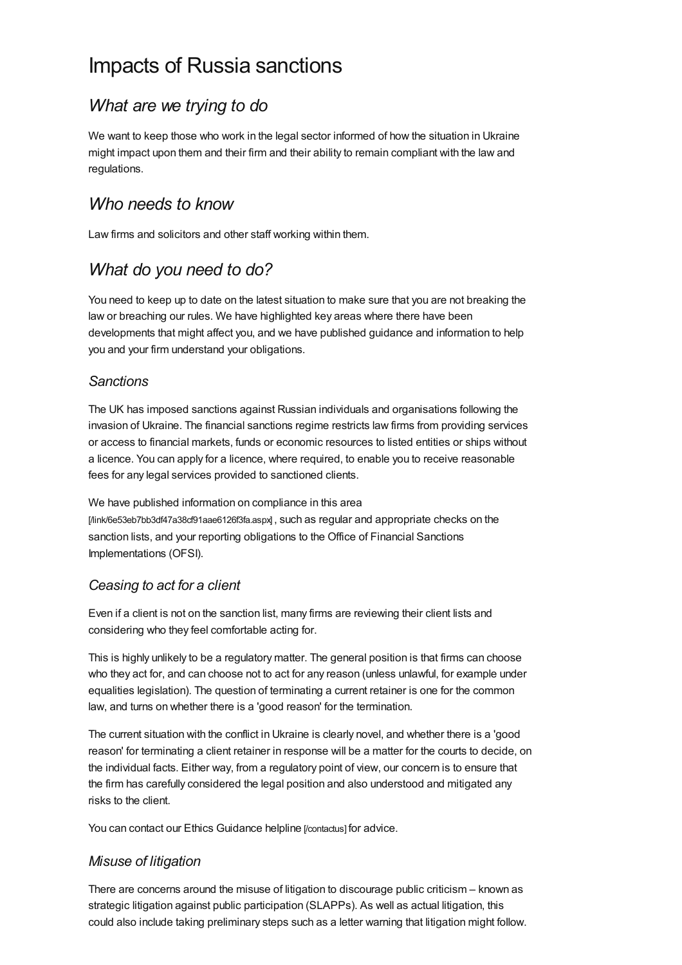# Impacts of Russia sanctions

## *What are we trying to do*

We want to keep those who work in the legal sector informed of how the situation in Ukraine might impact upon them and their firm and their ability to remain compliant with the law and regulations.

### *Who needs to know*

Law firms and solicitors and other staff working within them.

### *What do you need to do?*

You need to keep up to date on the latest situation to make sure that you are not breaking the law or breaching our rules. We have highlighted key areas where there have been developments that might affect you, and we have published guidance and information to help you and your firm understand your obligations.

#### *Sanctions*

The UK has imposed sanctions against Russian individuals and organisations following the invasion of Ukraine. The financial sanctions regime restricts law firms from providing services or access to financial markets, funds or economic resources to listed entities or ships without a licence. You can apply for a licence, where required, to enable you to receive reasonable fees for any legal services provided to sanctioned clients.

We have published information on compliance in this area [\[/link/6e53eb7bb3df47a38cf91aae6126f3fa.aspx\]](https://www.sra.org.uk/link/6e53eb7bb3df47a38cf91aae6126f3fa.aspx) , such as regular and appropriate checks on the sanction lists, and your reporting obligations to the Office of Financial Sanctions Implementations (OFSI).

#### *Ceasing to act for a client*

Even if a client is not on the sanction list, many firms are reviewing their client lists and considering who they feel comfortable acting for.

This is highly unlikely to be a regulatory matter. The general position is that firms can choose who they act for, and can choose not to act for any reason (unless unlawful, for example under equalities legislation). The question of terminating a current retainer is one for the common law, and turns on whether there is a 'good reason' for the termination.

The current situation with the conflict in Ukraine is clearly novel, and whether there is a 'good reason' for terminating a client retainer in response will be a matter for the courts to decide, on the individual facts. Either way, from a regulatory point of view, our concern is to ensure that the firm has carefully considered the legal position and also understood and mitigated any risks to the client.

You can contact our Ethics [Guidance](https://www.sra.org.uk/contactus) helpline [/contactus] for advice.

#### *Misuse of litigation*

There are concerns around the misuse of litigation to discourage public criticism – known as strategic litigation against public participation (SLAPPs). As well as actual litigation, this could also include taking preliminary steps such as a letter warning that litigation might follow.